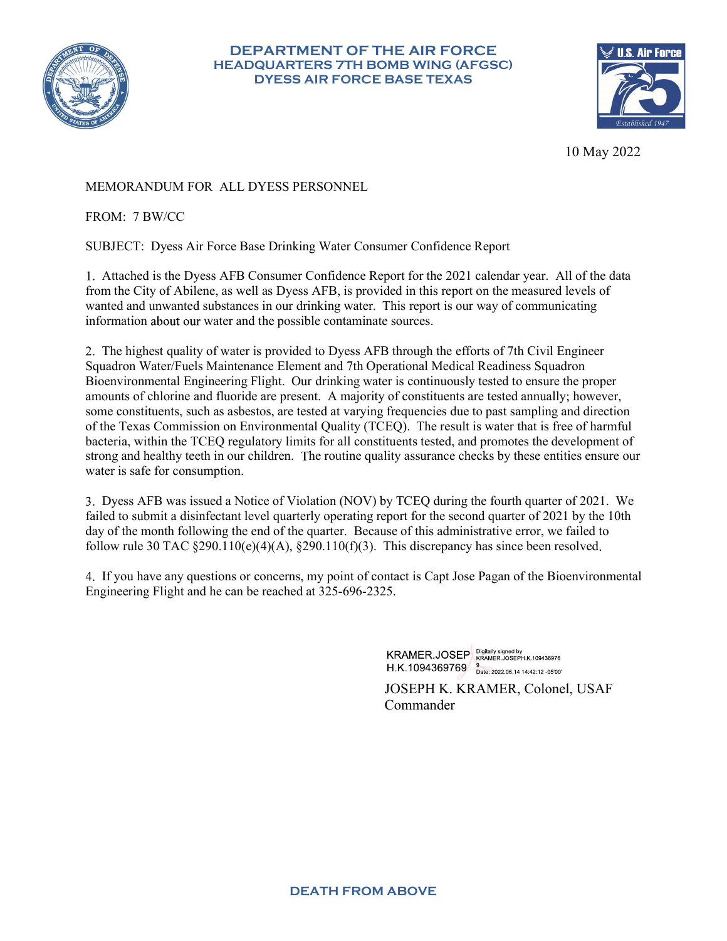

# DEPARTMENT OF THE AIR FORCE HEADQUARTERS 7TH BOMB WING (AFGSC) PARTMENT OF THE AIR FORCE<br>
QUARTERS 7TH BOMB WING (AFGSC)<br>
DYESS AIR FORCE BASE TEXAS<br>
10 May 2022



10 May 2022

# MEMORANDUM FOR ALL DYESS PERSONNEL

FROM: 7 BW/CC

SUBJECT: Dyess Air Force Base Drinking Water Consumer Confidence Report

DEPARTMENT OF THE AIR FORCE<br>
HEADQUARTERS 7TH BOMB WING (AFGSC)<br>
DYESS AIR FORCE BASE TEXAS<br>
10 May 2022<br>
MORANDUM FOR ALL DYESS PERSONNEL<br>
OM: 7 BW/CC<br>
BJECT: Dyess Air Force Base Drinking Water Consumer Confidence Report **EXERCT OF THE AIR FORCE<br>
FROQUARTERS THE BOMB WING (AFGSC)<br>
DYESS AIR FORCE BASE TEXAS<br>
IO May 2022<br>
MEMORANDUM FOR ALL DYESS PERSONNEL.<br>
TROM: 7 BW/CC<br>
SUBJECT: Dyess Air Force Base Drinking Water Consumer Confidence Rep** wanted and unwanted substances in our drinking water. This report is our way of communicating information about our water and the possible contaminate sources.

2. The highest quality of water is provided to Dyess AFB through the efforts of 7th Civil Engineer Squadron Water/Fuels Maintenance Element and 7th Operational Medical Readiness Squadron Bioenvironmental Engineering Flight. Our drinking water is continuously tested to ensure the proper amounts of chlorine and fluoride are present. A majority of constituents are tested annually however, Somether that the Decay Constituents such a state of the Texas Constituents such a state of the DOSE SUBJECT: Dyess Air Force Base Drinking Water Consumer Confidence Report (or the 2021 calendar year. All of the data from **SECONS THE SECONST SECONST SECONST SECONST SECONST SECONST SECONST SECONST SECONST SERVICE SUBJECT:** Dyess Air Force Base Drinking Water Consumer Confidence Report for the 2021 calendar year. All of the data from the City 10 May 2022<br>
HEROM: 7 BW/CC<br>
SUBJECT: Dyess Air Force Base Drinking Water Consumer Confidence Report<br>
1. Attached is the Dyess AFB Consumer Confidence Report for the 2021 calendar year. All of the data<br>
1. Attached is the 10 May 2022<br>
10 May 2022<br>
10 May 2022<br>
FROM: 7 BW/CC<br>
SUBJECT: Dyess Air Force Base Drinking Water Consumer Confidence Report<br>
1. Attached is the Dyess AFB Consumer Confidence Report for the 2021 calendar year. All of the water is safe for consumption.

Dyess AFB was issued a Notice of Violation (NOV) by TCEQ during the fourth quarter of 2021. We failed to submit a disinfectant level quarterly operating report for the second quarter of 2021 by the 10th day of the month following the end of the quarter. Because of this administrative error, we failed to follow rule 30 TAC  $\S290.110(e)(4)(A)$ ,  $\S290.110(f)(3)$ . This discrepancy has since been resolved.

If you have any questions or concerns, my point of contact is Capt Jose Pagan of the Bioenvironmental Engineering Flight and he can be reached at 325-696-2325.

> KRAMER.JOSEP KRAMER.JOSEPH.K.109436976 H.K.1094369769 Bate: 2022.06.14 14:42:12 -05'00'

JOSEPH K. KRAMER, Colonel, USAF Commander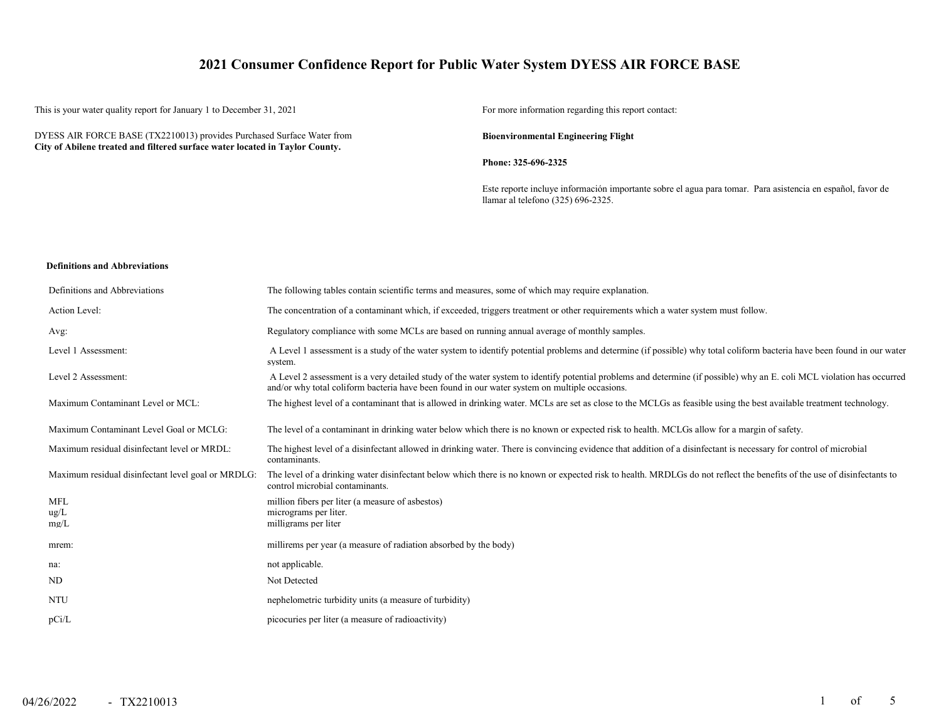# **2021 Consumer Confidence Report for Public Water System DYESS AIR FORCE BASE**

This is your water quality report for January 1 to December 31, 2021 For more information regarding this report contact:

DYESS AIR FORCE BASE (TX2210013) provides Purchased Surface Water from **City of Abilene treated and filtered surface water located in Taylor County.**

**Bioenvironmental Engineering Flight**

**Phone: 325-696-2325**

Este reporte incluye información importante sobre el agua para tomar. Para asistencia en español, favor de llamar al telefono (325) 696-2325.

### **Definitions and Abbreviations**

| Definitions and Abbreviations                      | The following tables contain scientific terms and measures, some of which may require explanation.                                                                                                                                                                      |
|----------------------------------------------------|-------------------------------------------------------------------------------------------------------------------------------------------------------------------------------------------------------------------------------------------------------------------------|
| Action Level:                                      | The concentration of a contaminant which, if exceeded, triggers treatment or other requirements which a water system must follow.                                                                                                                                       |
| Avg:                                               | Regulatory compliance with some MCLs are based on running annual average of monthly samples.                                                                                                                                                                            |
| Level 1 Assessment:                                | A Level 1 assessment is a study of the water system to identify potential problems and determine (if possible) why total coliform bacteria have been found in our water<br>system.                                                                                      |
| Level 2 Assessment:                                | A Level 2 assessment is a very detailed study of the water system to identify potential problems and determine (if possible) why an E. coli MCL violation has occurred<br>and/or why total coliform bacteria have been found in our water system on multiple occasions. |
| Maximum Contaminant Level or MCL:                  | The highest level of a contaminant that is allowed in drinking water. MCLs are set as close to the MCLGs as feasible using the best available treatment technology.                                                                                                     |
| Maximum Contaminant Level Goal or MCLG:            | The level of a contaminant in drinking water below which there is no known or expected risk to health. MCLGs allow for a margin of safety.                                                                                                                              |
| Maximum residual disinfectant level or MRDL:       | The highest level of a disinfectant allowed in drinking water. There is convincing evidence that addition of a disinfectant is necessary for control of microbial<br>contaminants.                                                                                      |
| Maximum residual disinfectant level goal or MRDLG: | The level of a drinking water disinfectant below which there is no known or expected risk to health. MRDLGs do not reflect the benefits of the use of disinfectants to<br>control microbial contaminants.                                                               |
| <b>MFL</b>                                         | million fibers per liter (a measure of asbestos)                                                                                                                                                                                                                        |
| $\text{ug/L}$<br>mg/L                              | micrograms per liter.<br>milligrams per liter                                                                                                                                                                                                                           |
| mrem:                                              | millirems per year (a measure of radiation absorbed by the body)                                                                                                                                                                                                        |
| na:                                                | not applicable.                                                                                                                                                                                                                                                         |
| ND                                                 | Not Detected                                                                                                                                                                                                                                                            |
| <b>NTU</b>                                         | nephelometric turbidity units (a measure of turbidity)                                                                                                                                                                                                                  |
| pCi/L                                              | picocuries per liter (a measure of radioactivity)                                                                                                                                                                                                                       |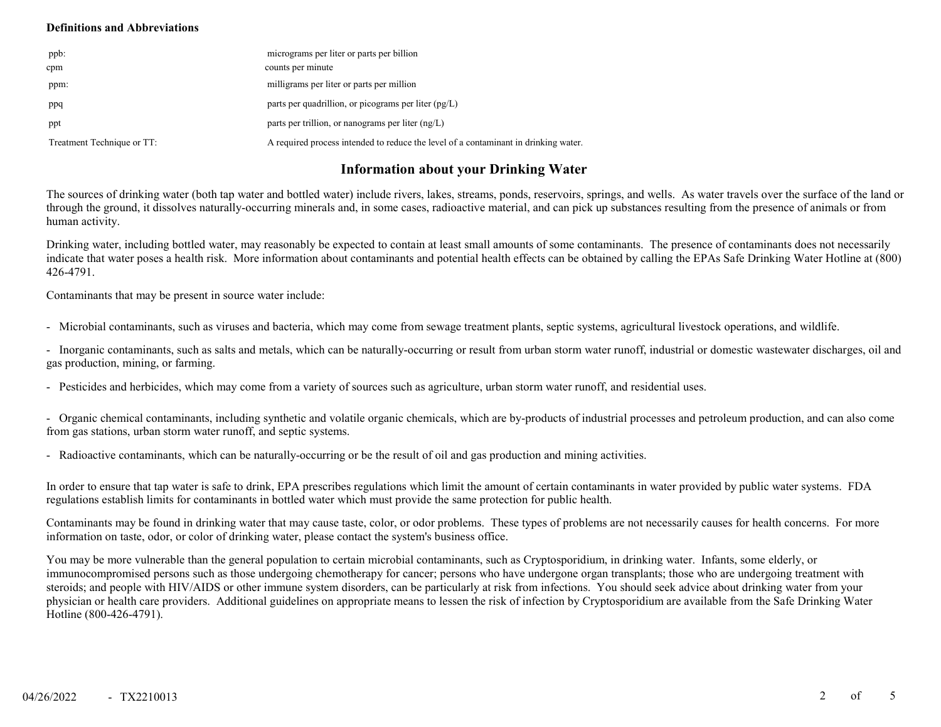### **Definitions and Abbreviations**

| ppb:                       | micrograms per liter or parts per billion                                           |
|----------------------------|-------------------------------------------------------------------------------------|
| cpm                        | counts per minute                                                                   |
| ppm:                       | milligrams per liter or parts per million                                           |
| ppq                        | parts per quadrillion, or picograms per liter $(pg/L)$                              |
| ppt                        | parts per trillion, or nanograms per liter $(ng/L)$                                 |
| Treatment Technique or TT: | A required process intended to reduce the level of a contaminant in drinking water. |

# **Information about your Drinking Water**

The sources of drinking water (both tap water and bottled water) include rivers, lakes, streams, ponds, reservoirs, springs, and wells. As water travels over the surface of the land or through the ground, it dissolves naturally-occurring minerals and, in some cases, radioactive material, and can pick up substances resulting from the presence of animals or from human activity.

Drinking water, including bottled water, may reasonably be expected to contain at least small amounts of some contaminants. The presence of contaminants does not necessarily indicate that water poses a health risk. More information about contaminants and potential health effects can be obtained by calling the EPAs Safe Drinking Water Hotline at (800) 426-4791.

Contaminants that may be present in source water include:

- Microbial contaminants, such as viruses and bacteria, which may come from sewage treatment plants, septic systems, agricultural livestock operations, and wildlife.

- Inorganic contaminants, such as salts and metals, which can be naturally-occurring or result from urban storm water runoff, industrial or domestic wastewater discharges, oil and gas production, mining, or farming.

- Pesticides and herbicides, which may come from a variety of sources such as agriculture, urban storm water runoff, and residential uses.

- Organic chemical contaminants, including synthetic and volatile organic chemicals, which are by-products of industrial processes and petroleum production, and can also come from gas stations, urban storm water runoff, and septic systems.

- Radioactive contaminants, which can be naturally-occurring or be the result of oil and gas production and mining activities.

In order to ensure that tap water is safe to drink, EPA prescribes regulations which limit the amount of certain contaminants in water provided by public water systems. FDA regulations establish limits for contaminants in bottled water which must provide the same protection for public health.

Contaminants may be found in drinking water that may cause taste, color, or odor problems. These types of problems are not necessarily causes for health concerns. For more information on taste, odor, or color of drinking water, please contact the system's business office.

You may be more vulnerable than the general population to certain microbial contaminants, such as Cryptosporidium, in drinking water. Infants, some elderly, or immunocompromised persons such as those undergoing chemotherapy for cancer; persons who have undergone organ transplants; those who are undergoing treatment with steroids; and people with HIV/AIDS or other immune system disorders, can be particularly at risk from infections. You should seek advice about drinking water from your physician or health care providers. Additional guidelines on appropriate means to lessen the risk of infection by Cryptosporidium are available from the Safe Drinking Water Hotline (800-426-4791).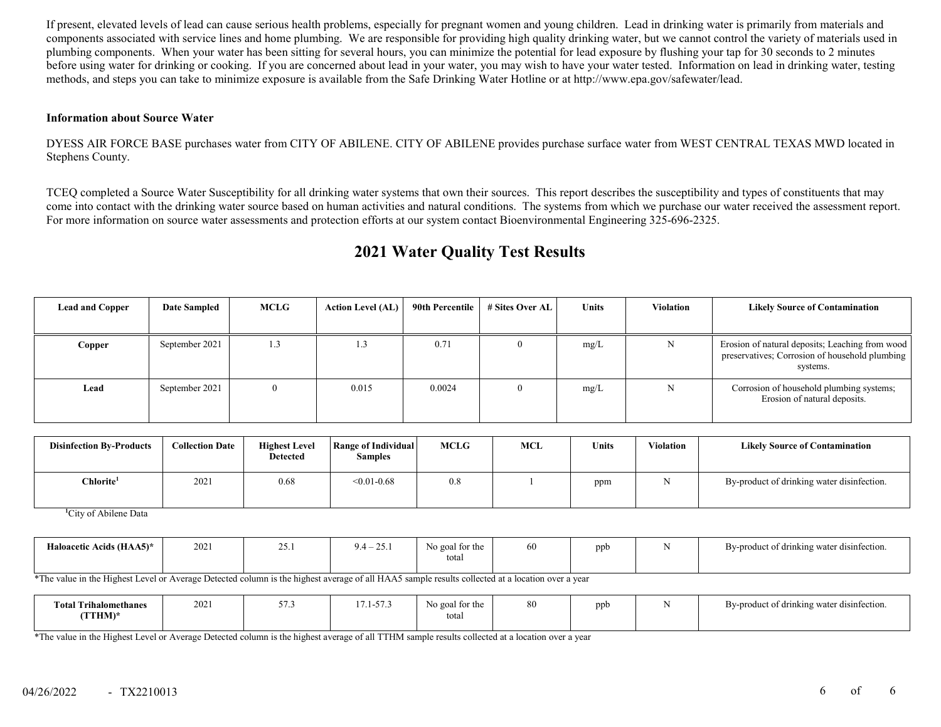If present, elevated levels of lead can cause serious health problems, especially for pregnant women and young children. Lead in drinking water is primarily from materials and components associated with service lines and home plumbing. We are responsible for providing high quality drinking water, but we cannot control the variety of materials used in plumbing components. When your water has been sitting for several hours, you can minimize the potential for lead exposure by flushing your tap for 30 seconds to 2 minutes before using water for drinking or cooking. If you are concerned about lead in your water, you may wish to have your water tested. Information on lead in drinking water, testing methods, and steps you can take to minimize exposure is available from the Safe Drinking Water Hotline or at http://www.epa.gov/safewater/lead.

### **Information about Source Water**

DYESS AIR FORCE BASE purchases water from CITY OF ABILENE. CITY OF ABILENE provides purchase surface water from WEST CENTRAL TEXAS MWD located in Stephens County.

TCEQ completed a Source Water Susceptibility for all drinking water systems that own their sources. This report describes the susceptibility and types of constituents that may come into contact with the drinking water source based on human activities and natural conditions. The systems from which we purchase our water received the assessment report. For more information on source water assessments and protection efforts at our system contact Bioenvironmental Engineering 325-696-2325.

| <b>Lead and Copper</b> | <b>Date Sampled</b> | MCLG | <b>Action Level (AL)</b> | 90th Percentile | # Sites Over AL | <b>Units</b> | <b>Violation</b> | <b>Likely Source of Contamination</b>                                                                         |
|------------------------|---------------------|------|--------------------------|-----------------|-----------------|--------------|------------------|---------------------------------------------------------------------------------------------------------------|
| <b>Copper</b>          | September 2021      | 1.3  | 1.3                      | 0.71            |                 | mg/L         | N                | Erosion of natural deposits; Leaching from wood<br>preservatives; Corrosion of household plumbing<br>systems. |
| Lead                   | September 2021      |      | 0.015                    | 0.0024          |                 | mg/L         | N                | Corrosion of household plumbing systems;<br>Erosion of natural deposits.                                      |

# **2021 Water Quality Test Results**

| <b>Disinfection By-Products</b> | <b>Collection Date</b> | <b>Highest Level</b><br><b>Detected</b> | Range of Individual<br><b>Samples</b> | <b>MCLG</b> | MCL | <b>Units</b> | <b>Violation</b> | <b>Likely Source of Contamination</b>      |
|---------------------------------|------------------------|-----------------------------------------|---------------------------------------|-------------|-----|--------------|------------------|--------------------------------------------|
| Chlorite <sup>1</sup>           | 2021                   | 0.68                                    | $< 0.01 - 0.68$                       | 0.8         |     | ppm          |                  | By-product of drinking water disinfection. |

**1** City of Abilene Data

| Haloacetic Acids (HAA5)* | 2021 | ጎድ<br>$\overline{v}$ | $\bigcap$ $\bigcap$ $\bigcap$<br>1.4<br>۰ د ب | No goal for the<br>total | οņ | ppb | . .<br>By-product of drinking water disinfection. |
|--------------------------|------|----------------------|-----------------------------------------------|--------------------------|----|-----|---------------------------------------------------|
|                          |      |                      |                                               |                          |    |     |                                                   |

\*The value in the Highest Level or Average Detected column is the highest average of all HAA5 sample results collected at a location over a year

| Total.<br>Trihalomethanes_<br>(TTHM)* | 2021 | $- -$<br>ن ، ر | $  -$<br>$\sim$ 1-37 | o goal for the<br>total | 80 | ppb |  | By-product of drinking water disinfection. |
|---------------------------------------|------|----------------|----------------------|-------------------------|----|-----|--|--------------------------------------------|
|---------------------------------------|------|----------------|----------------------|-------------------------|----|-----|--|--------------------------------------------|

\*The value in the Highest Level or Average Detected column is the highest average of all TTHM sample results collected at a location over a year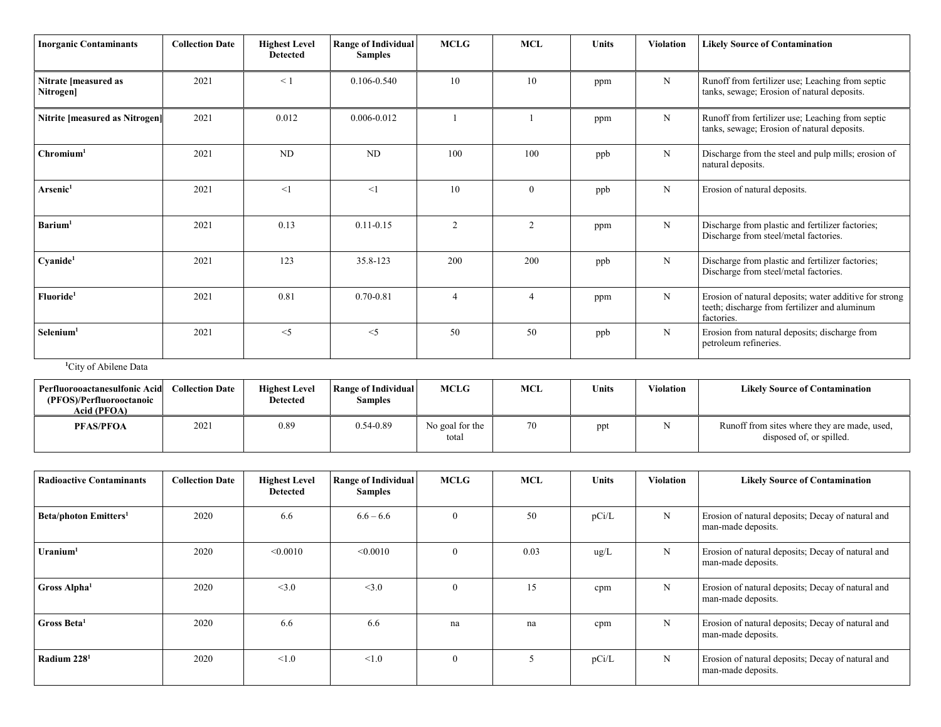| <b>Inorganic Contaminants</b>     | <b>Collection Date</b> | <b>Highest Level</b><br><b>Detected</b> | <b>Range of Individual</b><br><b>Samples</b> | <b>MCLG</b>    | <b>MCL</b>     | <b>Units</b> | <b>Violation</b> | <b>Likely Source of Contamination</b>                                                                                 |
|-----------------------------------|------------------------|-----------------------------------------|----------------------------------------------|----------------|----------------|--------------|------------------|-----------------------------------------------------------------------------------------------------------------------|
| Nitrate [measured as<br>Nitrogen] | 2021                   | $\leq$ 1                                | $0.106 - 0.540$                              | 10             | 10             | ppm          | N                | Runoff from fertilizer use; Leaching from septic<br>tanks, sewage; Erosion of natural deposits.                       |
| Nitrite [measured as Nitrogen]    | 2021                   | 0.012                                   | $0.006 - 0.012$                              |                |                | ppm          | N                | Runoff from fertilizer use; Leaching from septic<br>tanks, sewage; Erosion of natural deposits.                       |
| Chromium <sup>1</sup>             | 2021                   | ND                                      | ND                                           | 100            | 100            | ppb          | N                | Discharge from the steel and pulp mills; erosion of<br>natural deposits.                                              |
| Arsenic <sup>1</sup>              | 2021                   | <1                                      | $\leq$ 1                                     | 10             | $\mathbf{0}$   | ppb          | N                | Erosion of natural deposits.                                                                                          |
| Barium <sup>1</sup>               | 2021                   | 0.13                                    | $0.11 - 0.15$                                | $\overline{c}$ | $\overline{2}$ | ppm          | N                | Discharge from plastic and fertilizer factories;<br>Discharge from steel/metal factories.                             |
| Cyanide <sup>1</sup>              | 2021                   | 123                                     | 35.8-123                                     | 200            | 200            | ppb          | N                | Discharge from plastic and fertilizer factories;<br>Discharge from steel/metal factories.                             |
| Fluoride <sup>1</sup>             | 2021                   | 0.81                                    | $0.70 - 0.81$                                |                |                | ppm          | N                | Erosion of natural deposits; water additive for strong<br>teeth; discharge from fertilizer and aluminum<br>factories. |
| Selenium <sup>1</sup>             | 2021                   | $<$ 5                                   | $\leq$ 5                                     | 50             | 50             | ppb          | N                | Erosion from natural deposits; discharge from<br>petroleum refineries.                                                |

### **1** City of Abilene Data

| Perfluorooactanesulfonic Acid<br>(PFOS)/Perfluorooctanoic<br>Acid (PFOA) | <b>Collection Date</b> | <b>Highest Level</b><br>Detected | Range of Individual<br>Samples | <b>MCLG</b>              | MCL | Units | Violation | <b>Likely Source of Contamination</b>                                    |
|--------------------------------------------------------------------------|------------------------|----------------------------------|--------------------------------|--------------------------|-----|-------|-----------|--------------------------------------------------------------------------|
| <b>PFAS/PFOA</b>                                                         | 2021                   | 0.89                             | $0.54 - 0.89$                  | No goal for the<br>total | 70  | ppt   |           | Runoff from sites where they are made, used,<br>disposed of, or spilled. |

| <b>Radioactive Contaminants</b>         | <b>Collection Date</b> | <b>Highest Level</b><br><b>Detected</b> | <b>Range of Individual</b><br><b>Samples</b> | <b>MCLG</b> | <b>MCL</b> | <b>Units</b> | <b>Violation</b> | <b>Likely Source of Contamination</b>                                   |
|-----------------------------------------|------------------------|-----------------------------------------|----------------------------------------------|-------------|------------|--------------|------------------|-------------------------------------------------------------------------|
| <b>Beta/photon Emitters<sup>1</sup></b> | 2020                   | 6.6                                     | $6.6 - 6.6$                                  | $\theta$    | 50         | pCi/L        | N                | Erosion of natural deposits; Decay of natural and<br>man-made deposits. |
| $U$ ranium <sup>1</sup>                 | 2020                   | < 0.0010                                | < 0.0010                                     | $\theta$    | 0.03       | ug/L         | N                | Erosion of natural deposits; Decay of natural and<br>man-made deposits. |
| Gross Alpha <sup>1</sup>                | 2020                   | <3.0                                    | <3.0                                         | $\Omega$    | 15         | cpm          | N                | Erosion of natural deposits; Decay of natural and<br>man-made deposits. |
| Gross Beta <sup>1</sup>                 | 2020                   | 6.6                                     | 6.6                                          | na          | na         | cpm          | N                | Erosion of natural deposits; Decay of natural and<br>man-made deposits. |
| Radium $2281$                           | 2020                   | < 1.0                                   | < 1.0                                        | $\theta$    |            | pCi/L        | $\mathbf N$      | Erosion of natural deposits; Decay of natural and<br>man-made deposits. |